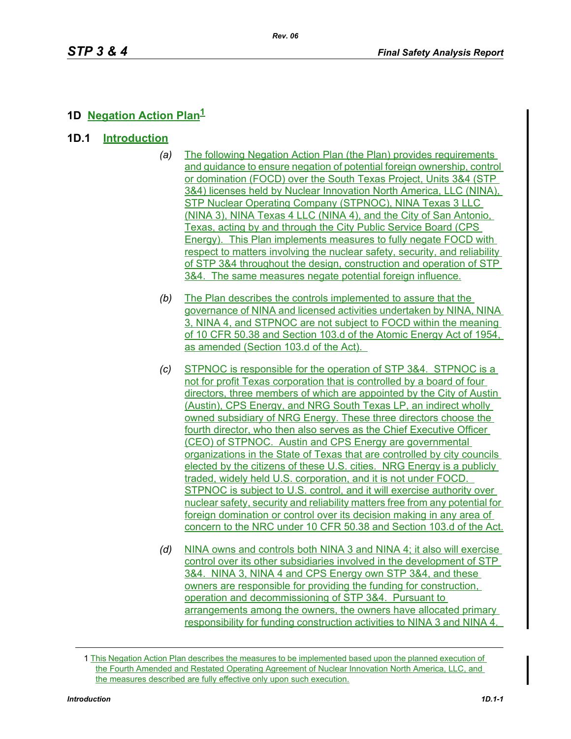# **1D Negation Action Plan<sup>1</sup>**

- **1D.1 Introduction**
	- *(a)* The following Negation Action Plan (the Plan) provides requirements and guidance to ensure negation of potential foreign ownership, control or domination (FOCD) over the South Texas Project, Units 3&4 (STP 3&4) licenses held by Nuclear Innovation North America, LLC (NINA), STP Nuclear Operating Company (STPNOC), NINA Texas 3 LLC (NINA 3), NINA Texas 4 LLC (NINA 4), and the City of San Antonio, Texas, acting by and through the City Public Service Board (CPS Energy). This Plan implements measures to fully negate FOCD with respect to matters involving the nuclear safety, security, and reliability of STP 3&4 throughout the design, construction and operation of STP 3&4. The same measures negate potential foreign influence.
	- *(b)* The Plan describes the controls implemented to assure that the governance of NINA and licensed activities undertaken by NINA, NINA 3, NINA 4, and STPNOC are not subject to FOCD within the meaning of 10 CFR 50.38 and Section 103.d of the Atomic Energy Act of 1954, as amended (Section 103.d of the Act).
	- *(c)* STPNOC is responsible for the operation of STP 3&4. STPNOC is a not for profit Texas corporation that is controlled by a board of four directors, three members of which are appointed by the City of Austin (Austin), CPS Energy, and NRG South Texas LP, an indirect wholly owned subsidiary of NRG Energy. These three directors choose the fourth director, who then also serves as the Chief Executive Officer (CEO) of STPNOC. Austin and CPS Energy are governmental organizations in the State of Texas that are controlled by city councils elected by the citizens of these U.S. cities. NRG Energy is a publicly traded, widely held U.S. corporation, and it is not under FOCD. STPNOC is subject to U.S. control, and it will exercise authority over nuclear safety, security and reliability matters free from any potential for foreign domination or control over its decision making in any area of concern to the NRC under 10 CFR 50.38 and Section 103.d of the Act.
	- *(d)* NINA owns and controls both NINA 3 and NINA 4; it also will exercise control over its other subsidiaries involved in the development of STP 3&4. NINA 3, NINA 4 and CPS Energy own STP 3&4, and these owners are responsible for providing the funding for construction, operation and decommissioning of STP 3&4. Pursuant to arrangements among the owners, the owners have allocated primary responsibility for funding construction activities to NINA 3 and NINA 4.

<sup>1</sup> This Negation Action Plan describes the measures to be implemented based upon the planned execution of the Fourth Amended and Restated Operating Agreement of Nuclear Innovation North America, LLC, and the measures described are fully effective only upon such execution.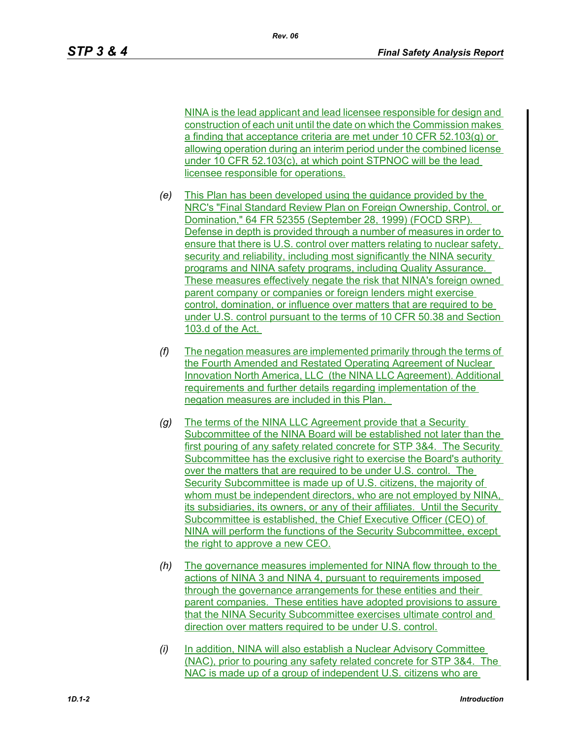NINA is the lead applicant and lead licensee responsible for design and construction of each unit until the date on which the Commission makes a finding that acceptance criteria are met under 10 CFR 52.103(g) or allowing operation during an interim period under the combined license under 10 CFR 52.103(c), at which point STPNOC will be the lead licensee responsible for operations.

- *(e)* This Plan has been developed using the guidance provided by the NRC's "Final Standard Review Plan on Foreign Ownership, Control, or Domination," 64 FR 52355 (September 28, 1999) (FOCD SRP). Defense in depth is provided through a number of measures in order to ensure that there is U.S. control over matters relating to nuclear safety, security and reliability, including most significantly the NINA security programs and NINA safety programs, including Quality Assurance. These measures effectively negate the risk that NINA's foreign owned parent company or companies or foreign lenders might exercise control, domination, or influence over matters that are required to be under U.S. control pursuant to the terms of 10 CFR 50.38 and Section 103.d of the Act.
- *(f)* The negation measures are implemented primarily through the terms of the Fourth Amended and Restated Operating Agreement of Nuclear Innovation North America, LLC (the NINA LLC Agreement). Additional requirements and further details regarding implementation of the negation measures are included in this Plan.
- *(g)* The terms of the NINA LLC Agreement provide that a Security Subcommittee of the NINA Board will be established not later than the first pouring of any safety related concrete for STP 3&4. The Security Subcommittee has the exclusive right to exercise the Board's authority over the matters that are required to be under U.S. control. The Security Subcommittee is made up of U.S. citizens, the majority of whom must be independent directors, who are not employed by NINA, its subsidiaries, its owners, or any of their affiliates. Until the Security Subcommittee is established, the Chief Executive Officer (CEO) of NINA will perform the functions of the Security Subcommittee, except the right to approve a new CEO.
- *(h)* The governance measures implemented for NINA flow through to the actions of NINA 3 and NINA 4, pursuant to requirements imposed through the governance arrangements for these entities and their parent companies. These entities have adopted provisions to assure that the NINA Security Subcommittee exercises ultimate control and direction over matters required to be under U.S. control.
- *(i)* In addition, NINA will also establish a Nuclear Advisory Committee (NAC), prior to pouring any safety related concrete for STP 3&4. The NAC is made up of a group of independent U.S. citizens who are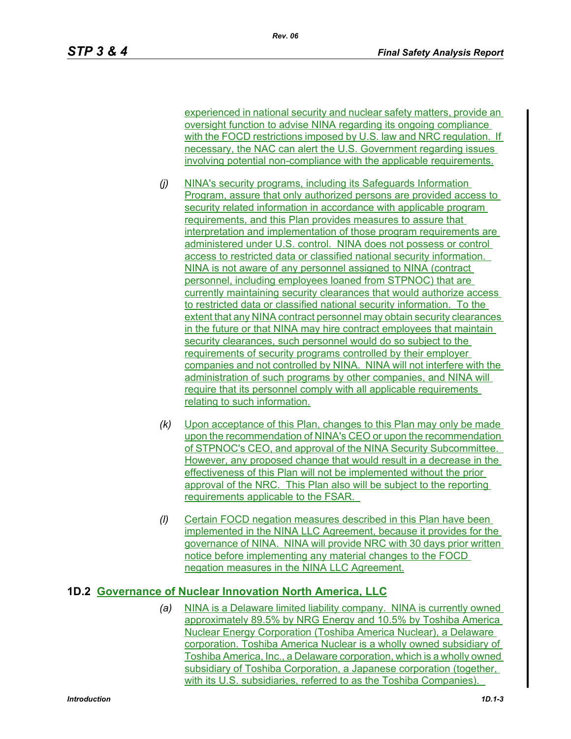experienced in national security and nuclear safety matters, provide an oversight function to advise NINA regarding its ongoing compliance with the FOCD restrictions imposed by U.S. law and NRC regulation. If necessary, the NAC can alert the U.S. Government regarding issues involving potential non-compliance with the applicable requirements.

- *(j)* NINA's security programs, including its Safeguards Information Program, assure that only authorized persons are provided access to security related information in accordance with applicable program requirements, and this Plan provides measures to assure that interpretation and implementation of those program requirements are administered under U.S. control. NINA does not possess or control access to restricted data or classified national security information. NINA is not aware of any personnel assigned to NINA (contract personnel, including employees loaned from STPNOC) that are currently maintaining security clearances that would authorize access to restricted data or classified national security information. To the extent that any NINA contract personnel may obtain security clearances in the future or that NINA may hire contract employees that maintain security clearances, such personnel would do so subject to the requirements of security programs controlled by their employer companies and not controlled by NINA. NINA will not interfere with the administration of such programs by other companies, and NINA will require that its personnel comply with all applicable requirements relating to such information.
- *(k)* Upon acceptance of this Plan, changes to this Plan may only be made upon the recommendation of NINA's CEO or upon the recommendation of STPNOC's CEO, and approval of the NINA Security Subcommittee. However, any proposed change that would result in a decrease in the effectiveness of this Plan will not be implemented without the prior approval of the NRC. This Plan also will be subject to the reporting requirements applicable to the FSAR.
- *(l)* Certain FOCD negation measures described in this Plan have been implemented in the NINA LLC Agreement, because it provides for the governance of NINA. NINA will provide NRC with 30 days prior written notice before implementing any material changes to the FOCD negation measures in the NINA LLC Agreement.

## **1D.2 Governance of Nuclear Innovation North America, LLC**

*(a)* NINA is a Delaware limited liability company. NINA is currently owned approximately 89.5% by NRG Energy and 10.5% by Toshiba America Nuclear Energy Corporation (Toshiba America Nuclear), a Delaware corporation. Toshiba America Nuclear is a wholly owned subsidiary of Toshiba America, Inc., a Delaware corporation, which is a wholly owned subsidiary of Toshiba Corporation, a Japanese corporation (together, with its U.S. subsidiaries, referred to as the Toshiba Companies).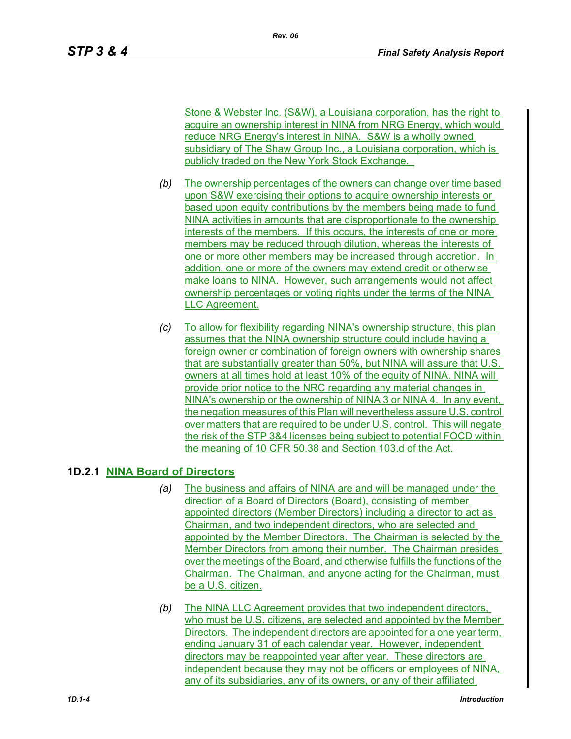Stone & Webster Inc. (S&W), a Louisiana corporation, has the right to acquire an ownership interest in NINA from NRG Energy, which would reduce NRG Energy's interest in NINA. S&W is a wholly owned subsidiary of The Shaw Group Inc., a Louisiana corporation, which is publicly traded on the New York Stock Exchange.

- *(b)* The ownership percentages of the owners can change over time based upon S&W exercising their options to acquire ownership interests or based upon equity contributions by the members being made to fund NINA activities in amounts that are disproportionate to the ownership interests of the members. If this occurs, the interests of one or more members may be reduced through dilution, whereas the interests of one or more other members may be increased through accretion. In addition, one or more of the owners may extend credit or otherwise make loans to NINA. However, such arrangements would not affect ownership percentages or voting rights under the terms of the NINA LLC Agreement.
- *(c)* To allow for flexibility regarding NINA's ownership structure, this plan assumes that the NINA ownership structure could include having a foreign owner or combination of foreign owners with ownership shares that are substantially greater than 50%, but NINA will assure that U.S. owners at all times hold at least 10% of the equity of NINA. NINA will provide prior notice to the NRC regarding any material changes in NINA's ownership or the ownership of NINA 3 or NINA 4. In any event, the negation measures of this Plan will nevertheless assure U.S. control over matters that are required to be under U.S. control. This will negate the risk of the STP 3&4 licenses being subject to potential FOCD within the meaning of 10 CFR 50.38 and Section 103.d of the Act.

# **1D.2.1 NINA Board of Directors**

- *(a)* The business and affairs of NINA are and will be managed under the direction of a Board of Directors (Board), consisting of member appointed directors (Member Directors) including a director to act as Chairman, and two independent directors, who are selected and appointed by the Member Directors. The Chairman is selected by the Member Directors from among their number. The Chairman presides over the meetings of the Board, and otherwise fulfills the functions of the Chairman. The Chairman, and anyone acting for the Chairman, must be a U.S. citizen.
- *(b)* The NINA LLC Agreement provides that two independent directors, who must be U.S. citizens, are selected and appointed by the Member Directors. The independent directors are appointed for a one year term, ending January 31 of each calendar year. However, independent directors may be reappointed year after year. These directors are independent because they may not be officers or employees of NINA, any of its subsidiaries, any of its owners, or any of their affiliated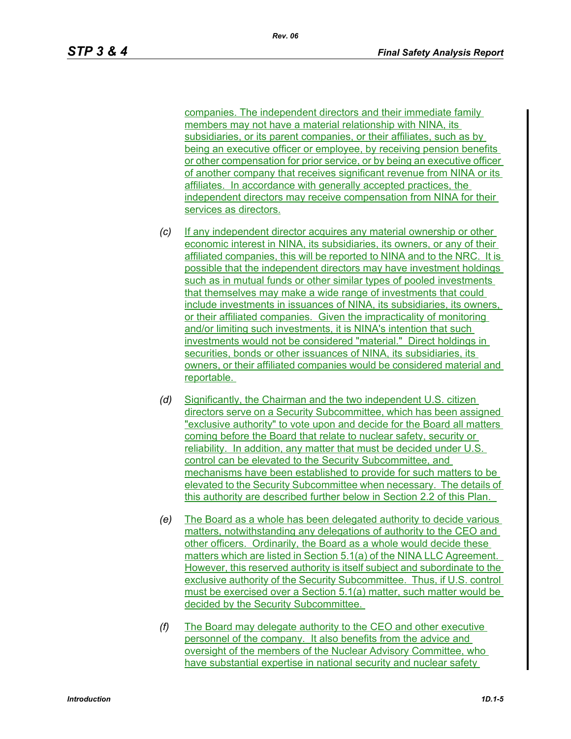companies. The independent directors and their immediate family members may not have a material relationship with NINA, its subsidiaries, or its parent companies, or their affiliates, such as by being an executive officer or employee, by receiving pension benefits or other compensation for prior service, or by being an executive officer of another company that receives significant revenue from NINA or its affiliates. In accordance with generally accepted practices, the independent directors may receive compensation from NINA for their services as directors.

- *(c)* If any independent director acquires any material ownership or other economic interest in NINA, its subsidiaries, its owners, or any of their affiliated companies, this will be reported to NINA and to the NRC. It is possible that the independent directors may have investment holdings such as in mutual funds or other similar types of pooled investments that themselves may make a wide range of investments that could include investments in issuances of NINA, its subsidiaries, its owners, or their affiliated companies. Given the impracticality of monitoring and/or limiting such investments, it is NINA's intention that such investments would not be considered "material." Direct holdings in securities, bonds or other issuances of NINA, its subsidiaries, its owners, or their affiliated companies would be considered material and reportable.
- *(d)* Significantly, the Chairman and the two independent U.S. citizen directors serve on a Security Subcommittee, which has been assigned "exclusive authority" to vote upon and decide for the Board all matters coming before the Board that relate to nuclear safety, security or reliability. In addition, any matter that must be decided under U.S. control can be elevated to the Security Subcommittee, and mechanisms have been established to provide for such matters to be elevated to the Security Subcommittee when necessary. The details of this authority are described further below in Section 2.2 of this Plan.
- *(e)* The Board as a whole has been delegated authority to decide various matters, notwithstanding any delegations of authority to the CEO and other officers. Ordinarily, the Board as a whole would decide these matters which are listed in Section 5.1(a) of the NINA LLC Agreement. However, this reserved authority is itself subject and subordinate to the exclusive authority of the Security Subcommittee. Thus, if U.S. control must be exercised over a Section 5.1(a) matter, such matter would be decided by the Security Subcommittee.
- *(f)* The Board may delegate authority to the CEO and other executive personnel of the company. It also benefits from the advice and oversight of the members of the Nuclear Advisory Committee, who have substantial expertise in national security and nuclear safety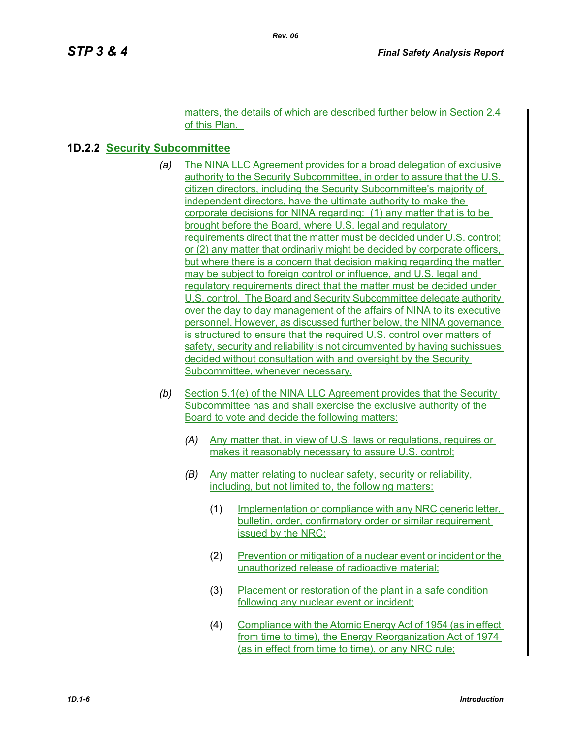matters, the details of which are described further below in Section 2.4 of this Plan.

#### **1D.2.2 Security Subcommittee**

- *(a)* The NINA LLC Agreement provides for a broad delegation of exclusive authority to the Security Subcommittee, in order to assure that the U.S. citizen directors, including the Security Subcommittee's majority of independent directors, have the ultimate authority to make the corporate decisions for NINA regarding: (1) any matter that is to be brought before the Board, where U.S. legal and regulatory requirements direct that the matter must be decided under U.S. control; or (2) any matter that ordinarily might be decided by corporate officers, but where there is a concern that decision making regarding the matter may be subject to foreign control or influence, and U.S. legal and regulatory requirements direct that the matter must be decided under U.S. control. The Board and Security Subcommittee delegate authority over the day to day management of the affairs of NINA to its executive personnel. However, as discussed further below, the NINA governance is structured to ensure that the required U.S. control over matters of safety, security and reliability is not circumvented by having suchissues decided without consultation with and oversight by the Security Subcommittee, whenever necessary.
- *(b)* Section 5.1(e) of the NINA LLC Agreement provides that the Security Subcommittee has and shall exercise the exclusive authority of the Board to vote and decide the following matters:
	- *(A)* Any matter that, in view of U.S. laws or regulations, requires or makes it reasonably necessary to assure U.S. control;
	- *(B)* Any matter relating to nuclear safety, security or reliability, including, but not limited to, the following matters:
		- (1) Implementation or compliance with any NRC generic letter, bulletin, order, confirmatory order or similar requirement issued by the NRC;
		- (2) Prevention or mitigation of a nuclear event or incident or the unauthorized release of radioactive material;
		- (3) Placement or restoration of the plant in a safe condition following any nuclear event or incident;
		- (4) Compliance with the Atomic Energy Act of 1954 (as in effect from time to time), the Energy Reorganization Act of 1974 (as in effect from time to time), or any NRC rule;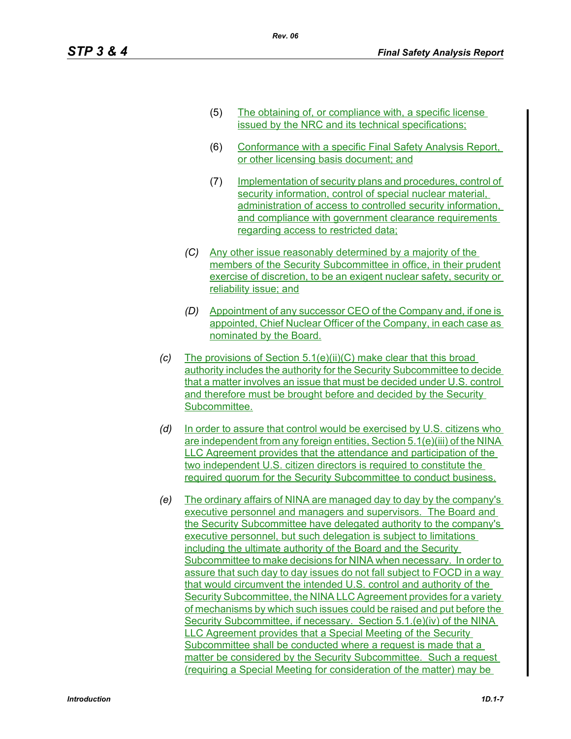- (5) The obtaining of, or compliance with, a specific license issued by the NRC and its technical specifications;
- (6) Conformance with a specific Final Safety Analysis Report, or other licensing basis document; and
- (7) Implementation of security plans and procedures, control of security information, control of special nuclear material, administration of access to controlled security information, and compliance with government clearance requirements regarding access to restricted data;
- *(C)* Any other issue reasonably determined by a majority of the members of the Security Subcommittee in office, in their prudent exercise of discretion, to be an exigent nuclear safety, security or reliability issue; and
- *(D)* Appointment of any successor CEO of the Company and, if one is appointed, Chief Nuclear Officer of the Company, in each case as nominated by the Board.
- *(c)* The provisions of Section 5.1(e)(ii)(C) make clear that this broad authority includes the authority for the Security Subcommittee to decide that a matter involves an issue that must be decided under U.S. control and therefore must be brought before and decided by the Security Subcommittee.
- *(d)* In order to assure that control would be exercised by U.S. citizens who are independent from any foreign entities, Section 5.1(e)(iii) of the NINA LLC Agreement provides that the attendance and participation of the two independent U.S. citizen directors is required to constitute the required quorum for the Security Subcommittee to conduct business.
- *(e)* The ordinary affairs of NINA are managed day to day by the company's executive personnel and managers and supervisors. The Board and the Security Subcommittee have delegated authority to the company's executive personnel, but such delegation is subject to limitations including the ultimate authority of the Board and the Security Subcommittee to make decisions for NINA when necessary. In order to assure that such day to day issues do not fall subject to FOCD in a way that would circumvent the intended U.S. control and authority of the Security Subcommittee, the NINA LLC Agreement provides for a variety of mechanisms by which such issues could be raised and put before the Security Subcommittee, if necessary. Section 5.1.(e)(iv) of the NINA LLC Agreement provides that a Special Meeting of the Security Subcommittee shall be conducted where a request is made that a matter be considered by the Security Subcommittee. Such a request (requiring a Special Meeting for consideration of the matter) may be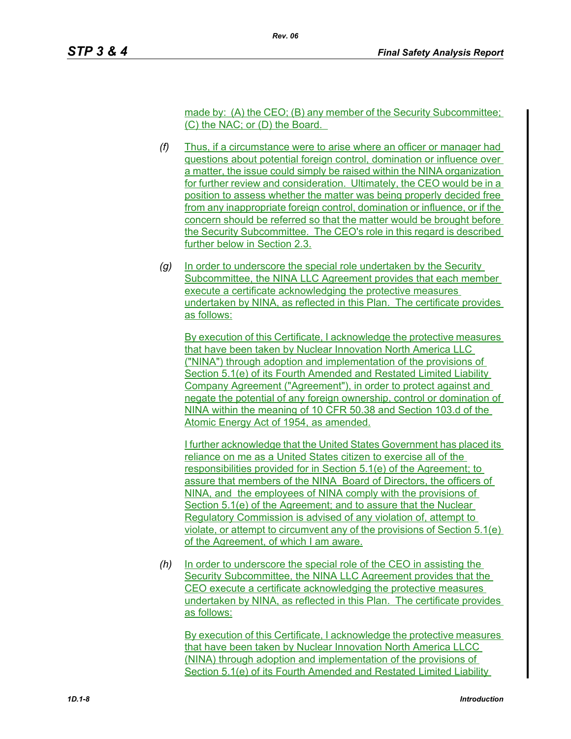made by: (A) the CEO; (B) any member of the Security Subcommittee; (C) the NAC; or (D) the Board.

- *(f)* Thus, if a circumstance were to arise where an officer or manager had questions about potential foreign control, domination or influence over a matter, the issue could simply be raised within the NINA organization for further review and consideration. Ultimately, the CEO would be in a position to assess whether the matter was being properly decided free from any inappropriate foreign control, domination or influence, or if the concern should be referred so that the matter would be brought before the Security Subcommittee. The CEO's role in this regard is described further below in Section 2.3.
- *(g)* In order to underscore the special role undertaken by the Security Subcommittee, the NINA LLC Agreement provides that each member execute a certificate acknowledging the protective measures undertaken by NINA, as reflected in this Plan. The certificate provides as follows:

By execution of this Certificate, I acknowledge the protective measures that have been taken by Nuclear Innovation North America LLC ("NINA") through adoption and implementation of the provisions of Section 5.1(e) of its Fourth Amended and Restated Limited Liability Company Agreement ("Agreement"), in order to protect against and negate the potential of any foreign ownership, control or domination of NINA within the meaning of 10 CFR 50.38 and Section 103.d of the Atomic Energy Act of 1954, as amended.

I further acknowledge that the United States Government has placed its reliance on me as a United States citizen to exercise all of the responsibilities provided for in Section 5.1(e) of the Agreement; to assure that members of the NINA Board of Directors, the officers of NINA, and the employees of NINA comply with the provisions of Section 5.1(e) of the Agreement; and to assure that the Nuclear Regulatory Commission is advised of any violation of, attempt to violate, or attempt to circumvent any of the provisions of Section 5.1(e) of the Agreement, of which I am aware.

*(h)* In order to underscore the special role of the CEO in assisting the Security Subcommittee, the NINA LLC Agreement provides that the CEO execute a certificate acknowledging the protective measures undertaken by NINA, as reflected in this Plan. The certificate provides as follows:

By execution of this Certificate, I acknowledge the protective measures that have been taken by Nuclear Innovation North America LLCC (NINA) through adoption and implementation of the provisions of Section 5.1(e) of its Fourth Amended and Restated Limited Liability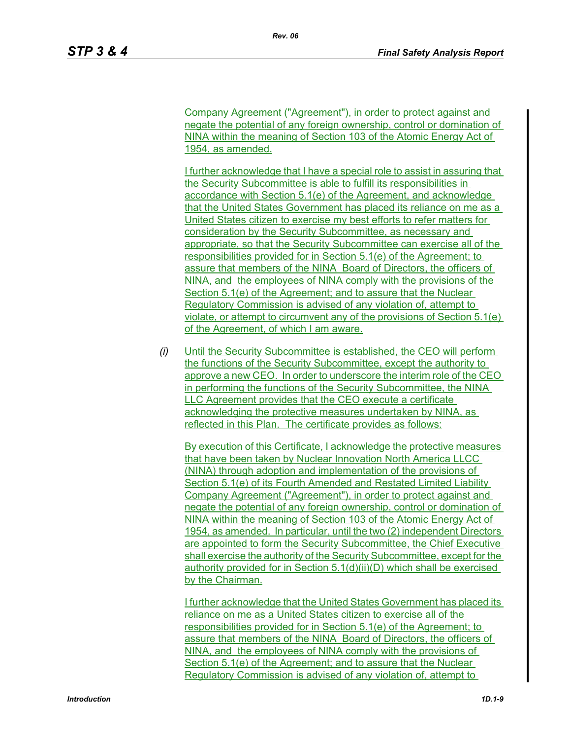Company Agreement ("Agreement"), in order to protect against and negate the potential of any foreign ownership, control or domination of NINA within the meaning of Section 103 of the Atomic Energy Act of 1954, as amended.

I further acknowledge that I have a special role to assist in assuring that the Security Subcommittee is able to fulfill its responsibilities in accordance with Section 5.1(e) of the Agreement, and acknowledge that the United States Government has placed its reliance on me as a United States citizen to exercise my best efforts to refer matters for consideration by the Security Subcommittee, as necessary and appropriate, so that the Security Subcommittee can exercise all of the responsibilities provided for in Section 5.1(e) of the Agreement; to assure that members of the NINA Board of Directors, the officers of NINA, and the employees of NINA comply with the provisions of the Section 5.1(e) of the Agreement; and to assure that the Nuclear Regulatory Commission is advised of any violation of, attempt to violate, or attempt to circumvent any of the provisions of Section 5.1(e) of the Agreement, of which I am aware.

*(i)* Until the Security Subcommittee is established, the CEO will perform the functions of the Security Subcommittee, except the authority to approve a new CEO. In order to underscore the interim role of the CEO in performing the functions of the Security Subcommittee, the NINA LLC Agreement provides that the CEO execute a certificate acknowledging the protective measures undertaken by NINA, as reflected in this Plan. The certificate provides as follows:

By execution of this Certificate, I acknowledge the protective measures that have been taken by Nuclear Innovation North America LLCC (NINA) through adoption and implementation of the provisions of Section 5.1(e) of its Fourth Amended and Restated Limited Liability Company Agreement ("Agreement"), in order to protect against and negate the potential of any foreign ownership, control or domination of NINA within the meaning of Section 103 of the Atomic Energy Act of 1954, as amended. In particular, until the two (2) independent Directors are appointed to form the Security Subcommittee, the Chief Executive shall exercise the authority of the Security Subcommittee, except for the authority provided for in Section 5.1(d)(ii)(D) which shall be exercised by the Chairman.

I further acknowledge that the United States Government has placed its reliance on me as a United States citizen to exercise all of the responsibilities provided for in Section 5.1(e) of the Agreement; to assure that members of the NINA Board of Directors, the officers of NINA, and the employees of NINA comply with the provisions of Section 5.1(e) of the Agreement; and to assure that the Nuclear Regulatory Commission is advised of any violation of, attempt to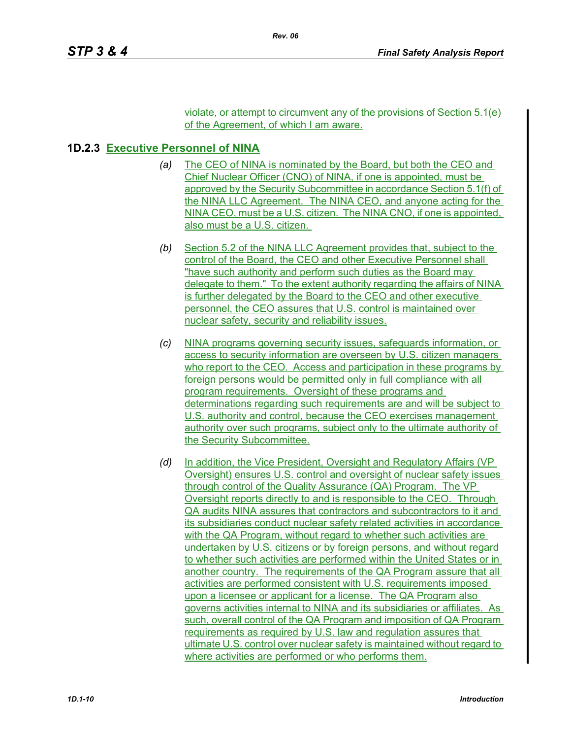violate, or attempt to circumvent any of the provisions of Section 5.1(e) of the Agreement, of which I am aware.

# **1D.2.3 Executive Personnel of NINA**

- *(a)* The CEO of NINA is nominated by the Board, but both the CEO and Chief Nuclear Officer (CNO) of NINA, if one is appointed, must be approved by the Security Subcommittee in accordance Section 5.1(f) of the NINA LLC Agreement. The NINA CEO, and anyone acting for the NINA CEO, must be a U.S. citizen. The NINA CNO, if one is appointed, also must be a U.S. citizen.
- *(b)* Section 5.2 of the NINA LLC Agreement provides that, subject to the control of the Board, the CEO and other Executive Personnel shall "have such authority and perform such duties as the Board may delegate to them." To the extent authority regarding the affairs of NINA is further delegated by the Board to the CEO and other executive personnel, the CEO assures that U.S. control is maintained over nuclear safety, security and reliability issues.
- *(c)* NINA programs governing security issues, safeguards information, or access to security information are overseen by U.S. citizen managers who report to the CEO. Access and participation in these programs by foreign persons would be permitted only in full compliance with all program requirements. Oversight of these programs and determinations regarding such requirements are and will be subject to U.S. authority and control, because the CEO exercises management authority over such programs, subject only to the ultimate authority of the Security Subcommittee.
- *(d)* In addition, the Vice President, Oversight and Regulatory Affairs (VP Oversight) ensures U.S. control and oversight of nuclear safety issues through control of the Quality Assurance (QA) Program. The VP Oversight reports directly to and is responsible to the CEO. Through QA audits NINA assures that contractors and subcontractors to it and its subsidiaries conduct nuclear safety related activities in accordance with the QA Program, without regard to whether such activities are undertaken by U.S. citizens or by foreign persons, and without regard to whether such activities are performed within the United States or in another country. The requirements of the QA Program assure that all activities are performed consistent with U.S. requirements imposed upon a licensee or applicant for a license. The QA Program also governs activities internal to NINA and its subsidiaries or affiliates. As such, overall control of the QA Program and imposition of QA Program requirements as required by U.S. law and regulation assures that ultimate U.S. control over nuclear safety is maintained without regard to where activities are performed or who performs them.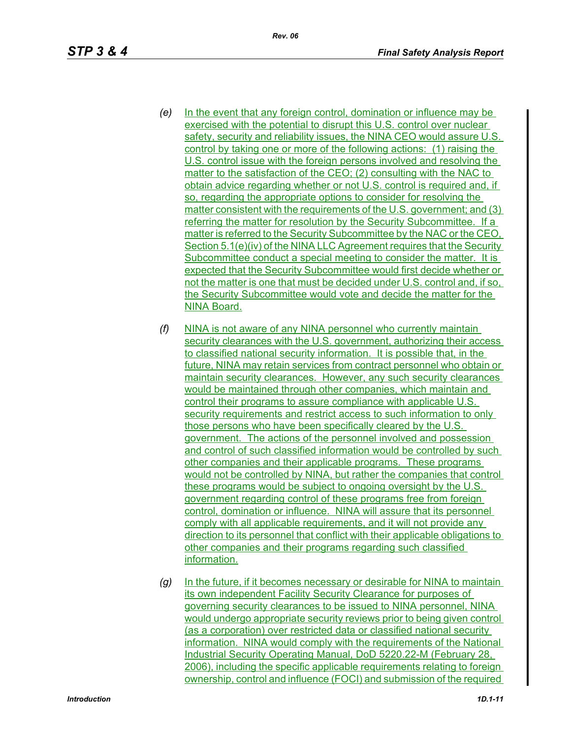- *(e)* In the event that any foreign control, domination or influence may be exercised with the potential to disrupt this U.S. control over nuclear safety, security and reliability issues, the NINA CEO would assure U.S. control by taking one or more of the following actions: (1) raising the U.S. control issue with the foreign persons involved and resolving the matter to the satisfaction of the CEO; (2) consulting with the NAC to obtain advice regarding whether or not U.S. control is required and, if so, regarding the appropriate options to consider for resolving the matter consistent with the requirements of the U.S. government; and (3) referring the matter for resolution by the Security Subcommittee. If a matter is referred to the Security Subcommittee by the NAC or the CEO, Section 5.1(e)(iv) of the NINA LLC Agreement requires that the Security Subcommittee conduct a special meeting to consider the matter. It is expected that the Security Subcommittee would first decide whether or not the matter is one that must be decided under U.S. control and, if so, the Security Subcommittee would vote and decide the matter for the NINA Board.
- *(f)* NINA is not aware of any NINA personnel who currently maintain security clearances with the U.S. government, authorizing their access to classified national security information. It is possible that, in the future, NINA may retain services from contract personnel who obtain or maintain security clearances. However, any such security clearances would be maintained through other companies, which maintain and control their programs to assure compliance with applicable U.S. security requirements and restrict access to such information to only those persons who have been specifically cleared by the U.S. government. The actions of the personnel involved and possession and control of such classified information would be controlled by such other companies and their applicable programs. These programs would not be controlled by NINA, but rather the companies that control these programs would be subject to ongoing oversight by the U.S. government regarding control of these programs free from foreign control, domination or influence. NINA will assure that its personnel comply with all applicable requirements, and it will not provide any direction to its personnel that conflict with their applicable obligations to other companies and their programs regarding such classified information.
- *(g)* In the future, if it becomes necessary or desirable for NINA to maintain its own independent Facility Security Clearance for purposes of governing security clearances to be issued to NINA personnel, NINA would undergo appropriate security reviews prior to being given control (as a corporation) over restricted data or classified national security information. NINA would comply with the requirements of the National Industrial Security Operating Manual, DoD 5220.22-M (February 28, 2006), including the specific applicable requirements relating to foreign ownership, control and influence (FOCI) and submission of the required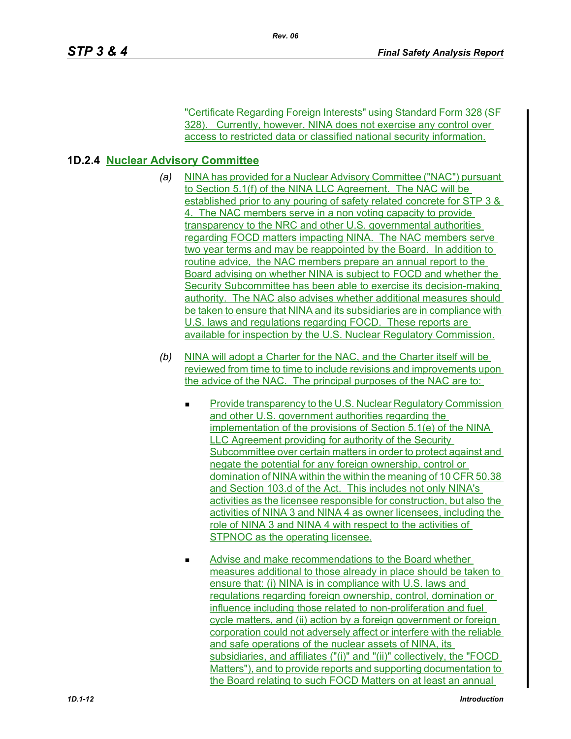"Certificate Regarding Foreign Interests" using Standard Form 328 (SF 328). Currently, however, NINA does not exercise any control over access to restricted data or classified national security information.

## **1D.2.4 Nuclear Advisory Committee**

- *(a)* NINA has provided for a Nuclear Advisory Committee ("NAC") pursuant to Section 5.1(f) of the NINA LLC Agreement. The NAC will be established prior to any pouring of safety related concrete for STP 3 & 4. The NAC members serve in a non voting capacity to provide transparency to the NRC and other U.S. governmental authorities regarding FOCD matters impacting NINA. The NAC members serve two year terms and may be reappointed by the Board. In addition to routine advice, the NAC members prepare an annual report to the Board advising on whether NINA is subject to FOCD and whether the Security Subcommittee has been able to exercise its decision-making authority. The NAC also advises whether additional measures should be taken to ensure that NINA and its subsidiaries are in compliance with U.S. laws and regulations regarding FOCD. These reports are available for inspection by the U.S. Nuclear Regulatory Commission.
- *(b)* NINA will adopt a Charter for the NAC, and the Charter itself will be reviewed from time to time to include revisions and improvements upon the advice of the NAC. The principal purposes of the NAC are to:
	- Provide transparency to the U.S. Nuclear Regulatory Commission and other U.S. government authorities regarding the implementation of the provisions of Section 5.1(e) of the NINA LLC Agreement providing for authority of the Security Subcommittee over certain matters in order to protect against and negate the potential for any foreign ownership, control or domination of NINA within the within the meaning of 10 CFR 50.38 and Section 103.d of the Act. This includes not only NINA's activities as the licensee responsible for construction, but also the activities of NINA 3 and NINA 4 as owner licensees, including the role of NINA 3 and NINA 4 with respect to the activities of STPNOC as the operating licensee.
	- **Advise and make recommendations to the Board whether** measures additional to those already in place should be taken to ensure that: (i) NINA is in compliance with U.S. laws and regulations regarding foreign ownership, control, domination or influence including those related to non-proliferation and fuel cycle matters, and (ii) action by a foreign government or foreign corporation could not adversely affect or interfere with the reliable and safe operations of the nuclear assets of NINA, its subsidiaries, and affiliates ("(i)" and "(ii)" collectively, the "FOCD Matters"), and to provide reports and supporting documentation to the Board relating to such FOCD Matters on at least an annual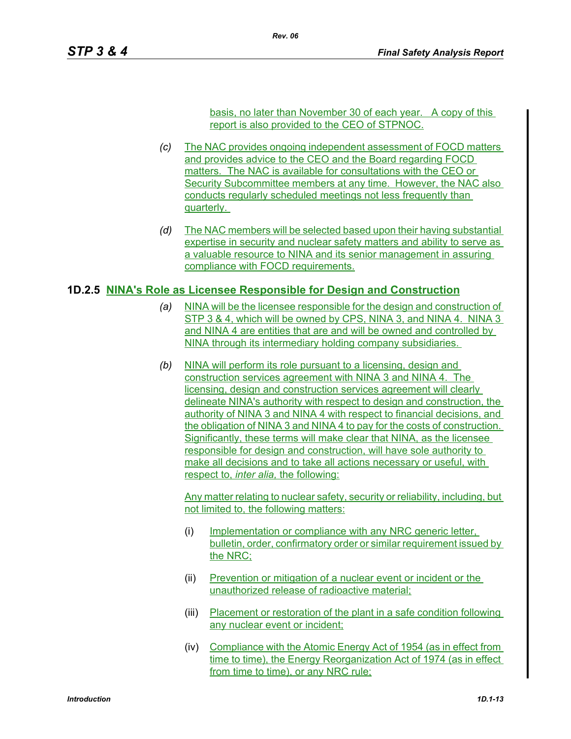basis, no later than November 30 of each year. A copy of this report is also provided to the CEO of STPNOC.

- *(c)* The NAC provides ongoing independent assessment of FOCD matters and provides advice to the CEO and the Board regarding FOCD matters. The NAC is available for consultations with the CEO or Security Subcommittee members at any time. However, the NAC also conducts regularly scheduled meetings not less frequently than quarterly.
- *(d)* The NAC members will be selected based upon their having substantial expertise in security and nuclear safety matters and ability to serve as a valuable resource to NINA and its senior management in assuring compliance with FOCD requirements.

#### **1D.2.5 NINA's Role as Licensee Responsible for Design and Construction**

- *(a)* NINA will be the licensee responsible for the design and construction of STP 3 & 4, which will be owned by CPS, NINA 3, and NINA 4. NINA 3 and NINA 4 are entities that are and will be owned and controlled by NINA through its intermediary holding company subsidiaries.
- *(b)* NINA will perform its role pursuant to a licensing, design and construction services agreement with NINA 3 and NINA 4. The licensing, design and construction services agreement will clearly delineate NINA's authority with respect to design and construction, the authority of NINA 3 and NINA 4 with respect to financial decisions, and the obligation of NINA 3 and NINA 4 to pay for the costs of construction. Significantly, these terms will make clear that NINA, as the licensee responsible for design and construction, will have sole authority to make all decisions and to take all actions necessary or useful, with respect to, *inter alia,* the following:

Any matter relating to nuclear safety, security or reliability, including, but not limited to, the following matters:

- (i) Implementation or compliance with any NRC generic letter, bulletin, order, confirmatory order or similar requirement issued by the NRC;
- (ii) Prevention or mitigation of a nuclear event or incident or the unauthorized release of radioactive material;
- (iii) Placement or restoration of the plant in a safe condition following any nuclear event or incident;
- (iv) Compliance with the Atomic Energy Act of 1954 (as in effect from time to time), the Energy Reorganization Act of 1974 (as in effect from time to time), or any NRC rule;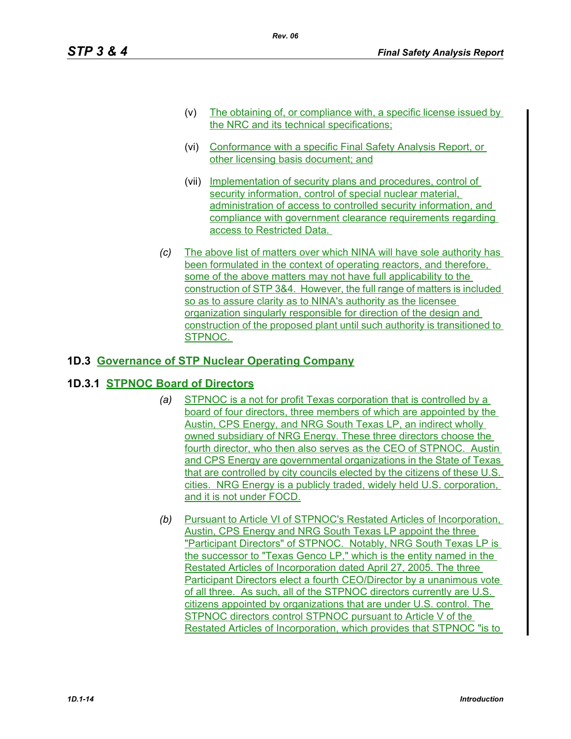- (v) The obtaining of, or compliance with, a specific license issued by the NRC and its technical specifications;
- (vi) Conformance with a specific Final Safety Analysis Report, or other licensing basis document; and
- (vii) Implementation of security plans and procedures, control of security information, control of special nuclear material, administration of access to controlled security information, and compliance with government clearance requirements regarding access to Restricted Data.
- *(c)* The above list of matters over which NINA will have sole authority has been formulated in the context of operating reactors, and therefore, some of the above matters may not have full applicability to the construction of STP 3&4. However, the full range of matters is included so as to assure clarity as to NINA's authority as the licensee organization singularly responsible for direction of the design and construction of the proposed plant until such authority is transitioned to STPNOC.

# **1D.3 Governance of STP Nuclear Operating Company**

## **1D.3.1 STPNOC Board of Directors**

- *(a)* STPNOC is a not for profit Texas corporation that is controlled by a board of four directors, three members of which are appointed by the Austin, CPS Energy, and NRG South Texas LP, an indirect wholly owned subsidiary of NRG Energy. These three directors choose the fourth director, who then also serves as the CEO of STPNOC. Austin and CPS Energy are governmental organizations in the State of Texas that are controlled by city councils elected by the citizens of these U.S. cities. NRG Energy is a publicly traded, widely held U.S. corporation, and it is not under FOCD.
- *(b)* Pursuant to Article VI of STPNOC's Restated Articles of Incorporation, Austin, CPS Energy and NRG South Texas LP appoint the three "Participant Directors" of STPNOC. Notably, NRG South Texas LP is the successor to "Texas Genco LP," which is the entity named in the Restated Articles of Incorporation dated April 27, 2005. The three Participant Directors elect a fourth CEO/Director by a unanimous vote of all three. As such, all of the STPNOC directors currently are U.S. citizens appointed by organizations that are under U.S. control. The STPNOC directors control STPNOC pursuant to Article V of the Restated Articles of Incorporation, which provides that STPNOC "is to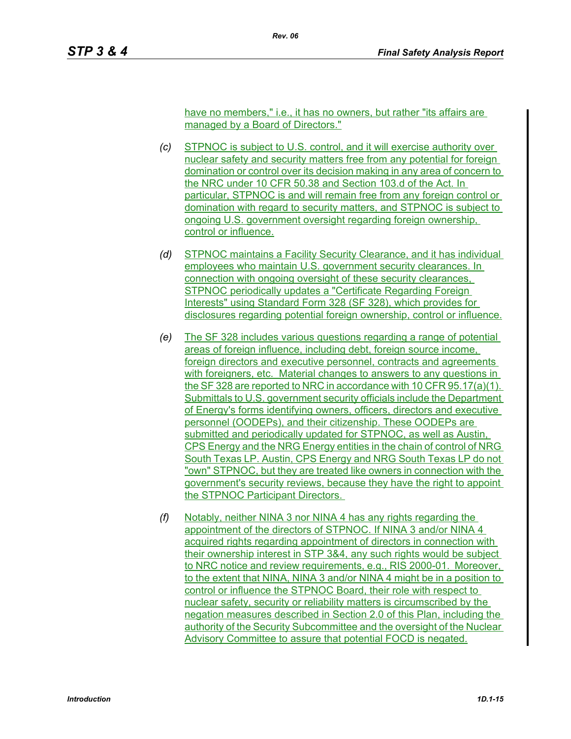have no members," i.e., it has no owners, but rather "its affairs are managed by a Board of Directors."

- *(c)* STPNOC is subject to U.S. control, and it will exercise authority over nuclear safety and security matters free from any potential for foreign domination or control over its decision making in any area of concern to the NRC under 10 CFR 50.38 and Section 103.d of the Act. In particular, STPNOC is and will remain free from any foreign control or domination with regard to security matters, and STPNOC is subject to ongoing U.S. government oversight regarding foreign ownership, control or influence.
- *(d)* STPNOC maintains a Facility Security Clearance, and it has individual employees who maintain U.S. government security clearances. In connection with ongoing oversight of these security clearances, STPNOC periodically updates a "Certificate Regarding Foreign Interests" using Standard Form 328 (SF 328), which provides for disclosures regarding potential foreign ownership, control or influence.
- *(e)* The SF 328 includes various questions regarding a range of potential areas of foreign influence, including debt, foreign source income, foreign directors and executive personnel, contracts and agreements with foreigners, etc. Material changes to answers to any questions in the SF 328 are reported to NRC in accordance with 10 CFR 95.17(a)(1). Submittals to U.S. government security officials include the Department of Energy's forms identifying owners, officers, directors and executive personnel (OODEPs), and their citizenship. These OODEPs are submitted and periodically updated for STPNOC, as well as Austin, CPS Energy and the NRG Energy entities in the chain of control of NRG South Texas LP. Austin, CPS Energy and NRG South Texas LP do not "own" STPNOC, but they are treated like owners in connection with the government's security reviews, because they have the right to appoint the STPNOC Participant Directors.
- *(f)* Notably, neither NINA 3 nor NINA 4 has any rights regarding the appointment of the directors of STPNOC. If NINA 3 and/or NINA 4 acquired rights regarding appointment of directors in connection with their ownership interest in STP 3&4, any such rights would be subject to NRC notice and review requirements, e.g., RIS 2000-01. Moreover, to the extent that NINA, NINA 3 and/or NINA 4 might be in a position to control or influence the STPNOC Board, their role with respect to nuclear safety, security or reliability matters is circumscribed by the negation measures described in Section 2.0 of this Plan, including the authority of the Security Subcommittee and the oversight of the Nuclear Advisory Committee to assure that potential FOCD is negated.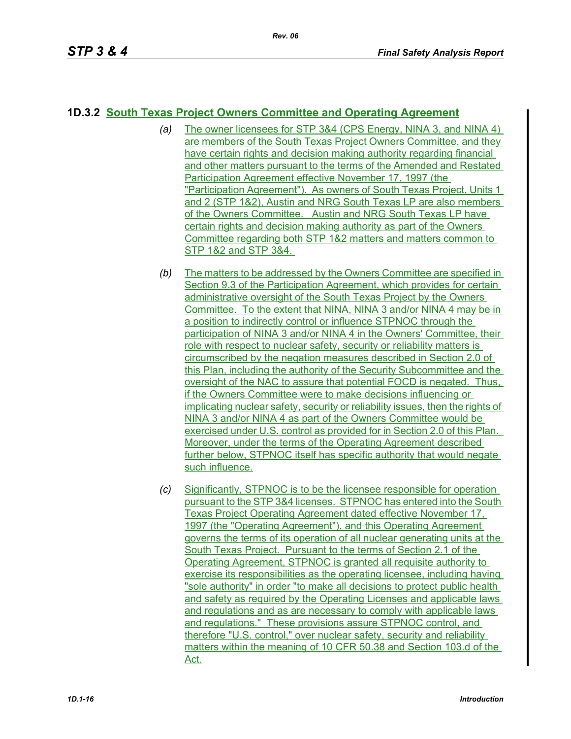# **1D.3.2 South Texas Project Owners Committee and Operating Agreement**

- *(a)* The owner licensees for STP 3&4 (CPS Energy, NINA 3, and NINA 4) are members of the South Texas Project Owners Committee, and they have certain rights and decision making authority regarding financial and other matters pursuant to the terms of the Amended and Restated Participation Agreement effective November 17, 1997 (the "Participation Agreement"). As owners of South Texas Project, Units 1 and 2 (STP 1&2), Austin and NRG South Texas LP are also members of the Owners Committee. Austin and NRG South Texas LP have certain rights and decision making authority as part of the Owners Committee regarding both STP 1&2 matters and matters common to STP 1&2 and STP 3&4.
- *(b)* The matters to be addressed by the Owners Committee are specified in Section 9.3 of the Participation Agreement, which provides for certain administrative oversight of the South Texas Project by the Owners Committee. To the extent that NINA, NINA 3 and/or NINA 4 may be in a position to indirectly control or influence STPNOC through the participation of NINA 3 and/or NINA 4 in the Owners' Committee, their role with respect to nuclear safety, security or reliability matters is circumscribed by the negation measures described in Section 2.0 of this Plan, including the authority of the Security Subcommittee and the oversight of the NAC to assure that potential FOCD is negated. Thus, if the Owners Committee were to make decisions influencing or implicating nuclear safety, security or reliability issues, then the rights of NINA 3 and/or NINA 4 as part of the Owners Committee would be exercised under U.S. control as provided for in Section 2.0 of this Plan. Moreover, under the terms of the Operating Agreement described further below, STPNOC itself has specific authority that would negate such influence.
- *(c)* Significantly, STPNOC is to be the licensee responsible for operation pursuant to the STP 3&4 licenses. STPNOC has entered into the South Texas Project Operating Agreement dated effective November 17, 1997 (the "Operating Agreement"), and this Operating Agreement governs the terms of its operation of all nuclear generating units at the South Texas Project. Pursuant to the terms of Section 2.1 of the Operating Agreement, STPNOC is granted all requisite authority to exercise its responsibilities as the operating licensee, including having "sole authority" in order "to make all decisions to protect public health and safety as required by the Operating Licenses and applicable laws and regulations and as are necessary to comply with applicable laws and regulations." These provisions assure STPNOC control, and therefore "U.S. control," over nuclear safety, security and reliability matters within the meaning of 10 CFR 50.38 and Section 103.d of the Act.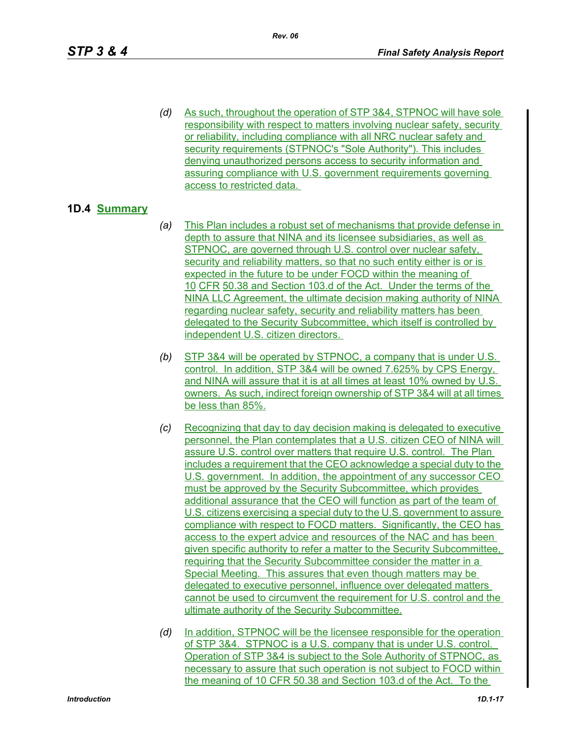*(d)* As such, throughout the operation of STP 3&4, STPNOC will have sole responsibility with respect to matters involving nuclear safety, security or reliability, including compliance with all NRC nuclear safety and security requirements (STPNOC's "Sole Authority"). This includes denying unauthorized persons access to security information and assuring compliance with U.S. government requirements governing access to restricted data.

## **1D.4 Summary**

- *(a)* This Plan includes a robust set of mechanisms that provide defense in depth to assure that NINA and its licensee subsidiaries, as well as STPNOC, are governed through U.S. control over nuclear safety, security and reliability matters, so that no such entity either is or is expected in the future to be under FOCD within the meaning of 10 CFR 50.38 and Section 103.d of the Act. Under the terms of the NINA LLC Agreement, the ultimate decision making authority of NINA regarding nuclear safety, security and reliability matters has been delegated to the Security Subcommittee, which itself is controlled by independent U.S. citizen directors.
- *(b)* STP 3&4 will be operated by STPNOC, a company that is under U.S. control. In addition, STP 3&4 will be owned 7.625% by CPS Energy, and NINA will assure that it is at all times at least 10% owned by U.S. owners. As such, indirect foreign ownership of STP 3&4 will at all times be less than 85%.
- *(c)* Recognizing that day to day decision making is delegated to executive personnel, the Plan contemplates that a U.S. citizen CEO of NINA will assure U.S. control over matters that require U.S. control. The Plan includes a requirement that the CEO acknowledge a special duty to the U.S. government. In addition, the appointment of any successor CEO must be approved by the Security Subcommittee, which provides additional assurance that the CEO will function as part of the team of U.S. citizens exercising a special duty to the U.S. government to assure compliance with respect to FOCD matters. Significantly, the CEO has access to the expert advice and resources of the NAC and has been given specific authority to refer a matter to the Security Subcommittee, requiring that the Security Subcommittee consider the matter in a Special Meeting. This assures that even though matters may be delegated to executive personnel, influence over delegated matters cannot be used to circumvent the requirement for U.S. control and the ultimate authority of the Security Subcommittee.
- *(d)* In addition, STPNOC will be the licensee responsible for the operation of STP 3&4. STPNOC is a U.S. company that is under U.S. control. Operation of STP 3&4 is subject to the Sole Authority of STPNOC, as necessary to assure that such operation is not subject to FOCD within the meaning of 10 CFR 50.38 and Section 103.d of the Act. To the